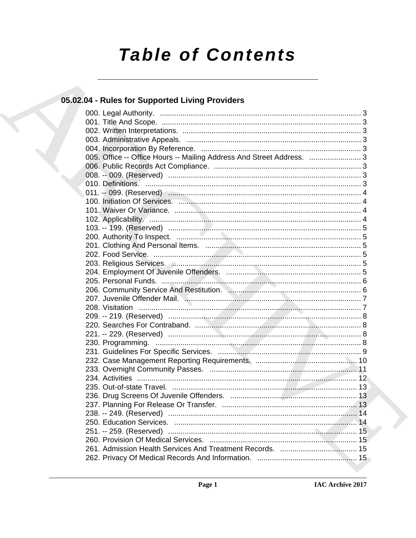# **Table of Contents**

### 05.02.04 - Rules for Supported Living Providers

| 005. Office -- Office Hours -- Mailing Address And Street Address.  3 |  |
|-----------------------------------------------------------------------|--|
|                                                                       |  |
|                                                                       |  |
|                                                                       |  |
|                                                                       |  |
|                                                                       |  |
|                                                                       |  |
|                                                                       |  |
|                                                                       |  |
|                                                                       |  |
|                                                                       |  |
|                                                                       |  |
|                                                                       |  |
|                                                                       |  |
|                                                                       |  |
|                                                                       |  |
|                                                                       |  |
|                                                                       |  |
|                                                                       |  |
|                                                                       |  |
|                                                                       |  |
|                                                                       |  |
|                                                                       |  |
|                                                                       |  |
|                                                                       |  |
|                                                                       |  |
|                                                                       |  |
|                                                                       |  |
|                                                                       |  |
|                                                                       |  |
|                                                                       |  |
|                                                                       |  |
|                                                                       |  |
|                                                                       |  |
|                                                                       |  |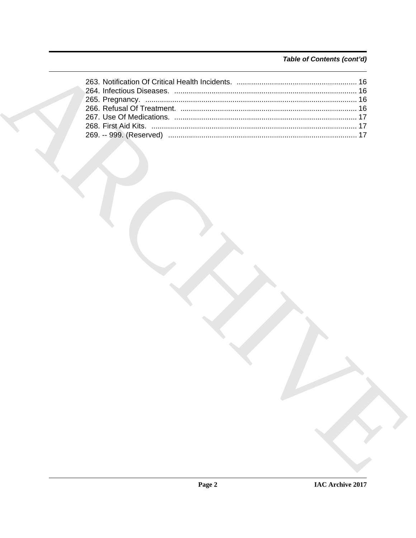### Table of Contents (cont'd)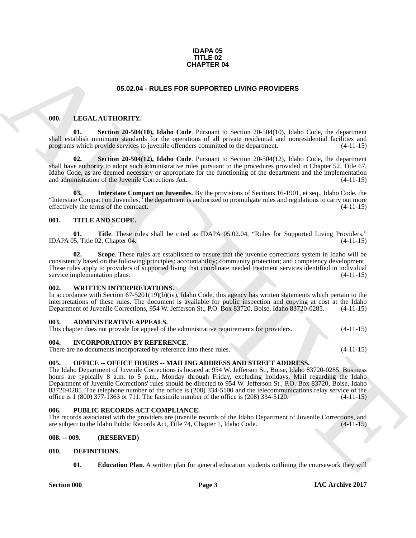#### **IDAPA 05 TITLE 02 CHAPTER 04**

#### <span id="page-2-16"></span>**05.02.04 - RULES FOR SUPPORTED LIVING PROVIDERS**

#### <span id="page-2-14"></span><span id="page-2-1"></span><span id="page-2-0"></span>**000. LEGAL AUTHORITY.**

**01. Section 20-504(10), Idaho Code**. Pursuant to Section 20-504(10), Idaho Code, the department shall establish minimum standards for the operations of all private residential and nonresidential facilities and programs which provide services to juvenile offenders committed to the department. (4-11-15) programs which provide services to juvenile offenders committed to the department.

<span id="page-2-17"></span>**02. Section 20-504(12), Idaho Code**. Pursuant to Section 20-504(12), Idaho Code, the department shall have authority to adopt such administrative rules pursuant to the procedures provided in Chapter 52, Title 67, Idaho Code, as are deemed necessary or appropriate for the functioning of the department and the implementation and administration of the Juvenile Corrections Act. (4-11-15) and administration of the Juvenile Corrections Act.

<span id="page-2-15"></span>**03. Interstate Compact on Juveniles**. By the provisions of Sections 16-1901, et seq., Idaho Code, the "Interstate Compact on Juveniles," the department is authorized to promulgate rules and regulations to carry out more effectively the terms of the compact.

#### <span id="page-2-20"></span><span id="page-2-2"></span>**001. TITLE AND SCOPE.**

<span id="page-2-22"></span>**01. Title**. These rules shall be cited as IDAPA 05.02.04, "Rules for Supported Living Providers," <br>5. Title 02. Chapter 04. (4-11-15) IDAPA 05, Title 02, Chapter  $\overline{04}$ .

<span id="page-2-21"></span>**Scope**. These rules are established to ensure that the juvenile corrections system in Idaho will be consistently based on the following principles: accountability; community protection; and competency development. These rules apply to providers of supported living that coordinate needed treatment services identified in individual service implementation plans. (4-11-15)

#### <span id="page-2-23"></span><span id="page-2-3"></span>**002. WRITTEN INTERPRETATIONS.**

In accordance with Section 67-5201(19)(b)(iv), Idaho Code, this agency has written statements which pertain to the interpretations of these rules. The document is available for public inspection and copying at cost at the Idaho Department of Juvenile Corrections, 954 W. Jefferson St., P.O. Box 83720, Boise, Idaho 83720-0285. (4-11-15)

#### <span id="page-2-10"></span><span id="page-2-4"></span>**003. ADMINISTRATIVE APPEALS.**

This chapter does not provide for appeal of the administrative requirements for providers. (4-11-15)

#### <span id="page-2-13"></span><span id="page-2-5"></span>**004. INCORPORATION BY REFERENCE.**

There are no documents incorporated by reference into these rules. (4-11-15)

#### <span id="page-2-18"></span><span id="page-2-6"></span>**005. OFFICE -- OFFICE HOURS -- MAILING ADDRESS AND STREET ADDRESS.**

**CHAPTER 04**<br> **CHARCHIVE CONSULTS:**<br> **CHARCHIVE CONSULTS:**<br> **CHARCHIVE CONSULTS:**<br> **CHARCHIVE CONSULTS:**<br> **CHARCHIVE CONSULTS:**<br> **CHARCHIVE CONSULTS:**<br> **CHARCHIVE CONSULTS:**<br> **CARCHIVE CONSULTS:**<br> **CARCHIVE CONSULTS:**<br> **C** The Idaho Department of Juvenile Corrections is located at 954 W. Jefferson St., Boise, Idaho 83720-0285. Business hours are typically 8 a.m. to 5 p.m., Monday through Friday, excluding holidays. Mail regarding the Idaho Department of Juvenile Corrections' rules should be directed to 954 W. Jefferson St., P.O. Box 83720, Boise, Idaho 83720-0285. The telephone number of the office is (208) 334-5100 and the telecommunications relay service of the office is 1 (800) 377-1363 or 711. The facsimile number of the office is (208) 334-5120. (4-11-15)

#### <span id="page-2-19"></span><span id="page-2-7"></span>**006. PUBLIC RECORDS ACT COMPLIANCE.**

The records associated with the providers are juvenile records of the Idaho Department of Juvenile Corrections, and are subject to the Idaho Public Records Act, Title 74, Chapter 1, Idaho Code. (4-11-15)

#### <span id="page-2-8"></span>**008. -- 009. (RESERVED)**

#### <span id="page-2-9"></span>**010. DEFINITIONS.**

<span id="page-2-12"></span><span id="page-2-11"></span>**01. Education Plan**. A written plan for general education students outlining the coursework they will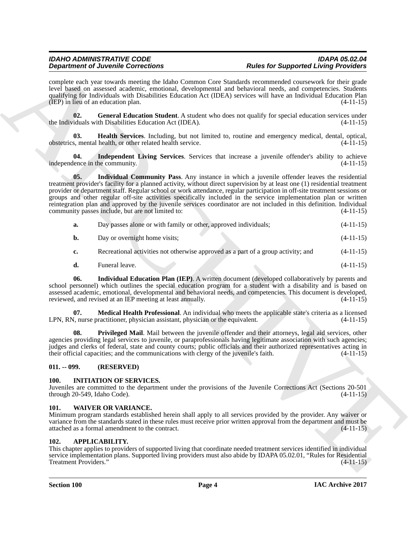complete each year towards meeting the Idaho Common Core Standards recommended coursework for their grade level based on assessed academic, emotional, developmental and behavioral needs, and competencies. Students qualifying for Individuals with Disabilities Education Act (IDEA) services will have an Individual Education Plan (IEP) in lieu of an education plan.  $(4-11-15)$ 

<span id="page-3-5"></span>**02. General Education Student**. A student who does not qualify for special education services under iduals with Disabilities Education Act (IDEA). (4-11-15) the Individuals with Disabilities Education Act (IDEA).

<span id="page-3-6"></span>**03. Health Services**. Including, but not limited to, routine and emergency medical, dental, optical,  $\omega$  obstetrics, mental health, or other related health service.  $(4-11-15)$ 

<span id="page-3-8"></span><span id="page-3-7"></span>**04.** Independent Living Services. Services that increase a juvenile offender's ability to achieve lence in the community. (4-11-15) independence in the community.

**Dependence of Alexander Concernent Conserner (E.G.) Rooms (and for Supposes)** and the subset of Alexander Conserner (E.G.) **Rooms (and F.C.) Rooms (and F.C.) Rooms (and F.C.) ARCHIVES** and **ARCHIVES** and **ARCHIVE 05. Individual Community Pass**. Any instance in which a juvenile offender leaves the residential treatment provider's facility for a planned activity, without direct supervision by at least one (1) residential treatment provider or department staff. Regular school or work attendance, regular participation in off-site treatment sessions or groups and other regular off-site activities specifically included in the service implementation plan or written reintegration plan and approved by the juvenile services coordinator are not included in this definition. Individual community passes include, but are not limited to: (4-11-15)

| а. | Day passes alone or with family or other, approved individuals; | $(4-11-15)$ |
|----|-----------------------------------------------------------------|-------------|
| b. | Day or overnight home visits;                                   | $(4-11-15)$ |
|    |                                                                 |             |

**c.** Recreational activities not otherwise approved as a part of a group activity; and  $(4-11-15)$ 

<span id="page-3-10"></span><span id="page-3-9"></span>**d.** Funeral leave. (4-11-15)

**06. Individual Education Plan (IEP)**. A written document (developed collaboratively by parents and school personnel) which outlines the special education program for a student with a disability and is based on assessed academic, emotional, developmental and behavioral needs, and competencies. This document is developed, reviewed, and revised at an IEP meeting at least annually. (4-11-15)

**07. Medical Health Professional**. An individual who meets the applicable state's criteria as a licensed  $\lambda$ , nurse practitioner, physician assistant, physician or the equivalent. (4-11-15) LPN, RN, nurse practitioner, physician assistant, physician or the equivalent.

<span id="page-3-11"></span>**08.** Privileged Mail. Mail between the juvenile offender and their attorneys, legal aid services, other agencies providing legal services to juvenile, or paraprofessionals having legitimate association with such agencies; judges and clerks of federal, state and county courts; public officials and their authorized representatives acting in their official capacities; and the communications with clergy of the juvenile's faith. (4-11-15)

#### <span id="page-3-0"></span>**011. -- 099. (RESERVED)**

#### <span id="page-3-12"></span><span id="page-3-1"></span>**100. INITIATION OF SERVICES.**

Juveniles are committed to the department under the provisions of the Juvenile Corrections Act (Sections 20-501 through 20-549, Idaho Code). (4-11-15)

#### <span id="page-3-13"></span><span id="page-3-2"></span>**101. WAIVER OR VARIANCE.**

Minimum program standards established herein shall apply to all services provided by the provider. Any waiver or variance from the standards stated in these rules must receive prior written approval from the department and must be attached as a formal amendment to the contract. (4-11-15)

#### <span id="page-3-4"></span><span id="page-3-3"></span>**102. APPLICABILITY.**

This chapter applies to providers of supported living that coordinate needed treatment services identified in individual service implementation plans. Supported living providers must also abide by IDAPA 05.02.01, "Rules for Residential Treatment Providers." (4-11-15)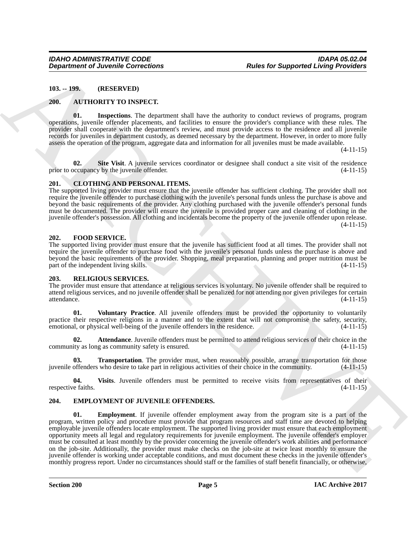<span id="page-4-0"></span>**103. -- 199. (RESERVED)**

#### <span id="page-4-6"></span><span id="page-4-1"></span>**200. AUTHORITY TO INSPECT.**

<span id="page-4-7"></span>**01. Inspections**. The department shall have the authority to conduct reviews of programs, program operations, juvenile offender placements, and facilities to ensure the provider's compliance with these rules. The provider shall cooperate with the department's review, and must provide access to the residence and all juvenile records for juveniles in department custody, as deemed necessary by the department. However, in order to more fully assess the operation of the program, aggregate data and information for all juveniles must be made available.

(4-11-15)

<span id="page-4-8"></span>**02.** Site Visit. A juvenile services coordinator or designee shall conduct a site visit of the residence occupancy by the juvenile offender. (4-11-15) prior to occupancy by the juvenile offender.

#### <span id="page-4-9"></span><span id="page-4-2"></span>**201. CLOTHING AND PERSONAL ITEMS.**

The supported living provider must ensure that the juvenile offender has sufficient clothing. The provider shall not require the juvenile offender to purchase clothing with the juvenile's personal funds unless the purchase is above and beyond the basic requirements of the provider. Any clothing purchased with the juvenile offender's personal funds must be documented. The provider will ensure the juvenile is provided proper care and cleaning of clothing in the juvenile offender's possession. All clothing and incidentals become the property of the juvenile offender upon release.  $(4-11-15)$ 

#### <span id="page-4-11"></span><span id="page-4-3"></span>**202. FOOD SERVICE.**

The supported living provider must ensure that the juvenile has sufficient food at all times. The provider shall not require the juvenile offender to purchase food with the juvenile's personal funds unless the purchase is above and beyond the basic requirements of the provider. Shopping, meal preparation, planning and proper nutrition must be part of the independent living skills. (4-11-15)

#### <span id="page-4-12"></span><span id="page-4-4"></span>**203. RELIGIOUS SERVICES.**

The provider must ensure that attendance at religious services is voluntary. No juvenile offender shall be required to attend religious services, and no juvenile offender shall be penalized for not attending nor given privileges for certain attendance. (4-11-15)

<span id="page-4-16"></span>**01. Voluntary Practice**. All juvenile offenders must be provided the opportunity to voluntarily practice their respective religions in a manner and to the extent that will not compromise the safety, security, emotional, or physical well-being of the juvenile offenders in the residence. (4-11-15)

<span id="page-4-13"></span>**02. Attendance**. Juvenile offenders must be permitted to attend religious services of their choice in the ity as long as community safety is ensured. (4-11-15) community as long as community safety is ensured.

<span id="page-4-14"></span>**03. Transportation**. The provider must, when reasonably possible, arrange transportation for those juvenile offenders who desire to take part in religious activities of their choice in the community. (4-11-15)

<span id="page-4-15"></span>**04.** Visits. Juvenile offenders must be permitted to receive visits from representatives of their e faiths. (4-11-15) respective faiths.

#### <span id="page-4-10"></span><span id="page-4-5"></span>**204. EMPLOYMENT OF JUVENILE OFFENDERS.**

**Department of Juvenile Connections**<br>
10.3 **Parts for Supported University Connections**<br>
10.3 **ARCHIVENTY VO INSERT CONNECT TIME INTERFERENCE CONNECT CONNECT CONNECT CONNECT CONNECT CONNECT CONNECT CONNECT CONNECT CONNECT 01. Employment**. If juvenile offender employment away from the program site is a part of the program, written policy and procedure must provide that program resources and staff time are devoted to helping employable juvenile offenders locate employment. The supported living provider must ensure that each employment opportunity meets all legal and regulatory requirements for juvenile employment. The juvenile offender's employer must be consulted at least monthly by the provider concerning the juvenile offender's work abilities and performance on the job-site. Additionally, the provider must make checks on the job-site at twice least monthly to ensure the juvenile offender is working under acceptable conditions, and must document these checks in the juvenile offender's monthly progress report. Under no circumstances should staff or the families of staff benefit financially, or otherwise,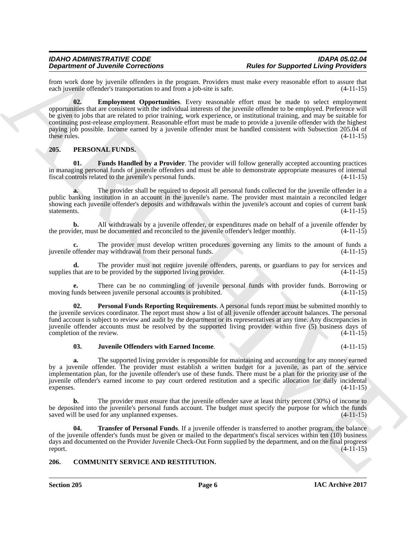<span id="page-5-3"></span>from work done by juvenile offenders in the program. Providers must make every reasonable effort to assure that each invenile offender's transportation to and from a job-site is safe. (4-11-15) each juvenile offender's transportation to and from a job-site is safe.

**Dependent of Alexandre Contents and Reputation For the form of the form of the specific of the specific studies of the specific of the specific of the specific of the specific of the specific of the specific of the speci 02. Employment Opportunities**. Every reasonable effort must be made to select employment opportunities that are consistent with the individual interests of the juvenile offender to be employed. Preference will be given to jobs that are related to prior training, work experience, or institutional training, and may be suitable for continuing post-release employment. Reasonable effort must be made to provide a juvenile offender with the highest paying job possible. Income earned by a juvenile offender must be handled consistent with Subsection 205.04 of these rules. (4-11-15) these rules.  $(4-11-15)$ 

#### <span id="page-5-4"></span><span id="page-5-0"></span>**205. PERSONAL FUNDS.**

<span id="page-5-5"></span>**01. Funds Handled by a Provider**. The provider will follow generally accepted accounting practices in managing personal funds of juvenile offenders and must be able to demonstrate appropriate measures of internal fiscal controls related to the juvenile's personal funds. (4-11-15)

**a.** The provider shall be required to deposit all personal funds collected for the juvenile offender in a public banking institution in an account in the juvenile's name. The provider must maintain a reconciled ledger showing each juvenile offender's deposits and withdrawals within the juvenile's account and copies of current bank statements. (4-11-15)

**b.** All withdrawals by a juvenile offender, or expenditures made on behalf of a juvenile offender by der, must be documented and reconciled to the juvenile offender's ledger monthly. (4-11-15) the provider, must be documented and reconciled to the juvenile offender's ledger monthly.

The provider must develop written procedures governing any limits to the amount of funds a may withdrawal from their personal funds. (4-11-15) juvenile offender may withdrawal from their personal funds.

**d.** The provider must not require juvenile offenders, parents, or guardians to pay for services and that are to be provided by the supported living provider. (4-11-15) supplies that are to be provided by the supported living provider.

**e.** There can be no commingling of juvenile personal funds with provider funds. Borrowing or unds between juvenile personal accounts is prohibited. (4-11-15) moving funds between juvenile personal accounts is prohibited.

<span id="page-5-7"></span>**02. Personal Funds Reporting Requirements**. A personal funds report must be submitted monthly to the juvenile services coordinator. The report must show a list of all juvenile offender account balances. The personal fund account is subject to review and audit by the department or its representatives at any time. Any discrepancies in juvenile offender accounts must be resolved by the supported living provider within five (5) business days of completion of the review. (4-11-15)

#### <span id="page-5-6"></span>**03. Juvenile Offenders with Earned Income**. (4-11-15)

**a.** The supported living provider is responsible for maintaining and accounting for any money earned by a juvenile offender. The provider must establish a written budget for a juvenile, as part of the service implementation plan, for the juvenile offender's use of these funds. There must be a plan for the priority use of the juvenile offender's earned income to pay court ordered restitution and a specific allocation for daily incidental expenses.  $(4-11-15)$ 

The provider must ensure that the juvenile offender save at least thirty percent (30%) of income to be deposited into the juvenile's personal funds account. The budget must specify the purpose for which the funds saved will be used for any unplanned expenses. (4-11-15) saved will be used for any unplanned expenses.

<span id="page-5-8"></span>**Transfer of Personal Funds**. If a juvenile offender is transferred to another program, the balance of the juvenile offender's funds must be given or mailed to the department's fiscal services within ten (10) business days and documented on the Provider Juvenile Check-Out Form supplied by the department, and on the final progress report.  $(4-11-15)$ 

#### <span id="page-5-2"></span><span id="page-5-1"></span>**206. COMMUNITY SERVICE AND RESTITUTION.**

**Section 205 Page 6**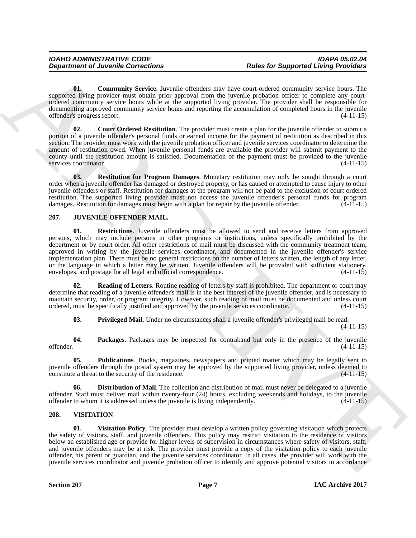<span id="page-6-2"></span>**01. Community Service**. Juvenile offenders may have court-ordered community service hours. The supported living provider must obtain prior approval from the juvenile probation officer to complete any courtordered community service hours while at the supported living provider. The provider shall be responsible for documenting approved community service hours and reporting the accumulation of completed hours in the juvenile offender's progress report. (4-11-15)

<span id="page-6-3"></span>**02. Court Ordered Restitution**. The provider must create a plan for the juvenile offender to submit a portion of a juvenile offender's personal funds or earned income for the payment of restitution as described in this section. The provider must work with the juvenile probation officer and juvenile services coordinator to determine the amount of restitution owed. When juvenile personal funds are available the provider will submit payment to the county until the restitution amount is satisfied. Documentation of the payment must be provided to the juvenile<br>services coordinator. (4-11-15) services coordinator.

<span id="page-6-4"></span>**03. Restitution for Program Damages**. Monetary restitution may only be sought through a court order when a juvenile offender has damaged or destroyed property, or has caused or attempted to cause injury to other juvenile offenders or staff. Restitution for damages at the program will not be paid to the exclusion of court ordered restitution. The supported living provider must not access the juvenile offender's personal funds for program damages. Restitution for damages must begin with a plan for repair by the juvenile offender. (4-11-15)

#### <span id="page-6-11"></span><span id="page-6-5"></span><span id="page-6-0"></span>**207. JUVENILE OFFENDER MAIL.**

**Department of Juvenile Corrections**<br> **Alter for Supported University.** Another displaces and such a consistent and such a complete the supported University between the supported University and the supported University an **01. Restrictions**. Juvenile offenders must be allowed to send and receive letters from approved persons, which may include persons in other programs or institutions, unless specifically prohibited by the department or by court order. All other restrictions of mail must be discussed with the community treatment team, approved in writing by the juvenile services coordinator, and documented in the juvenile offender's service implementation plan. There must be no general restrictions on the number of letters written, the length of any letter, or the language in which a letter may be written. Juvenile offenders will be provided with sufficient stationery, envelopes, and postage for all legal and official correspondence. (4-11-15)

**02. Reading of Letters**. Routine reading of letters by staff is prohibited. The department or court may determine that reading of a juvenile offender's mail is in the best interest of the juvenile offender, and is necessary to maintain security, order, or program integrity. However, such reading of mail must be documented and unless court ordered, must be specifically justified and approved by the juvenile services coordinator. (4-11-15)

<span id="page-6-10"></span><span id="page-6-9"></span><span id="page-6-8"></span><span id="page-6-7"></span>**03.** Privileged Mail. Under no circumstances shall a juvenile offender's privileged mail be read.

 $(4-11-15)$ 

**04.** Packages. Packages may be inspected for contraband but only in the presence of the juvenile offender. (4-11-15) offender. (4-11-15)

**05. Publications**. Books, magazines, newspapers and printed matter which may be legally sent to juvenile offenders through the postal system may be approved by the supported living provider, unless deemed to constitute a threat to the security of the residence.

<span id="page-6-6"></span>**06. Distribution of Mail**. The collection and distribution of mail must never be delegated to a juvenile offender. Staff must deliver mail within twenty-four (24) hours, excluding weekends and holidays, to the juvenile offender to whom it is addressed unless the juvenile is living independently. (4-11-15)

#### <span id="page-6-12"></span><span id="page-6-1"></span>**208. VISITATION**

<span id="page-6-13"></span>**01. Visitation Policy**. The provider must develop a written policy governing visitation which protects the safety of visitors, staff, and juvenile offenders. This policy may restrict visitation to the residence of visitors below an established age or provide for higher levels of supervision in circumstances where safety of visitors, staff, and juvenile offenders may be at risk. The provider must provide a copy of the visitation policy to each juvenile offender, his parent or guardian, and the juvenile services coordinator. In all cases, the provider will work with the juvenile services coordinator and juvenile probation officer to identify and approve potential visitors in accordance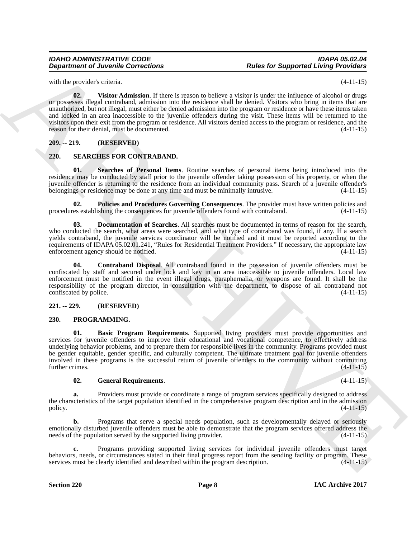with the provider's criteria. (4-11-15)

<span id="page-7-12"></span>**02. Visitor Admission**. If there is reason to believe a visitor is under the influence of alcohol or drugs or possesses illegal contraband, admission into the residence shall be denied. Visitors who bring in items that are unauthorized, but not illegal, must either be denied admission into the program or residence or have these items taken and locked in an area inaccessible to the juvenile offenders during the visit. These items will be returned to the visitors upon their exit from the program or residence. All visitors denied access to the program or residence, and the reason for their denial, must be documented. (4-11-15)

#### <span id="page-7-0"></span>**209. -- 219. (RESERVED)**

#### <span id="page-7-7"></span><span id="page-7-1"></span>**220. SEARCHES FOR CONTRABAND.**

<span id="page-7-11"></span>**01. Searches of Personal Items**. Routine searches of personal items being introduced into the residence may be conducted by staff prior to the juvenile offender taking possession of his property, or when the juvenile offender is returning to the residence from an individual community pass. Search of a juvenile offender's belongings or residence may be done at any time and must be minimally intrusive. (4-11-15) belongings or residence may be done at any time and must be minimally intrusive.

<span id="page-7-10"></span>**02.** Policies and Procedures Governing Consequences. The provider must have written policies and es establishing the consequences for juvenile offenders found with contraband. (4-11-15) procedures establishing the consequences for juvenile offenders found with contraband.

<span id="page-7-9"></span>**03. Documentation of Searches**. All searches must be documented in terms of reason for the search, who conducted the search, what areas were searched, and what type of contraband was found, if any. If a search yields contraband, the juvenile services coordinator will be notified and it must be reported according to the requirements of IDAPA 05.02.01.241, "Rules for Residential Treatment Providers." If necessary, the appropriate law<br>enforcement agency should be notified. (4-11-15) enforcement agency should be notified.

<span id="page-7-8"></span>**04. Contraband Disposal**. All contraband found in the possession of juvenile offenders must be confiscated by staff and secured under lock and key in an area inaccessible to juvenile offenders. Local law enforcement must be notified in the event illegal drugs, paraphernalia, or weapons are found. It shall be the responsibility of the program director, in consultation with the department, to dispose of all contraband not confiscated by police. (4-11-15)

#### <span id="page-7-2"></span>**221. -- 229. (RESERVED)**

#### <span id="page-7-5"></span><span id="page-7-4"></span><span id="page-7-3"></span>**230. PROGRAMMING.**

**Department of Juvenile Convections**<br>
with the probability three department of the state is a state to the state for the state of the state of the state of the state of the state of the state of the state of the state of **01. Basic Program Requirements**. Supported living providers must provide opportunities and services for juvenile offenders to improve their educational and vocational competence, to effectively address underlying behavior problems, and to prepare them for responsible lives in the community. Programs provided must be gender equitable, gender specific, and culturally competent. The ultimate treatment goal for juvenile offenders involved in these programs is the successful return of juvenile offenders to the community without committing further crimes. (4-11-15)

#### <span id="page-7-6"></span>**02. General Requirements**. (4-11-15)

**a.** Providers must provide or coordinate a range of program services specifically designed to address the characteristics of the target population identified in the comprehensive program description and in the admission policy.  $(4-11-15)$ policy.  $(4-11-15)$ 

**b.** Programs that serve a special needs population, such as developmentally delayed or seriously emotionally disturbed juvenile offenders must be able to demonstrate that the program services offered address the needs of the population served by the supported living provider. (4-11-15)

**c.** Programs providing supported living services for individual juvenile offenders must target behaviors, needs, or circumstances stated in their final progress report from the sending facility or program. These services must be clearly identified and described within the program description.  $(4-11-15)$ services must be clearly identified and described within the program description.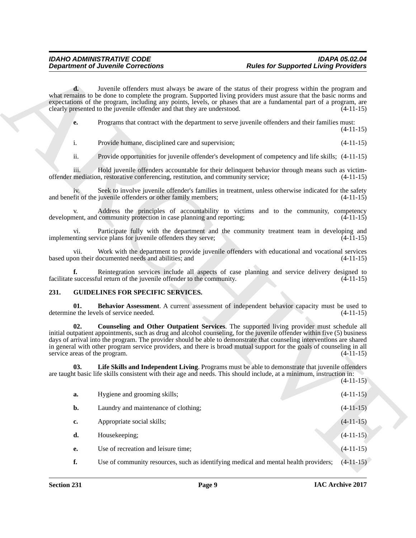#### <span id="page-8-4"></span><span id="page-8-3"></span><span id="page-8-2"></span><span id="page-8-1"></span><span id="page-8-0"></span>**231. GUIDELINES FOR SPECIFIC SERVICES.**

|                                      | <b>Department of Juvenile Corrections</b>                                                                                                                                                                                                                                                                                                                                                                                                                               | <b>Rules for Supported Living Providers</b> |             |
|--------------------------------------|-------------------------------------------------------------------------------------------------------------------------------------------------------------------------------------------------------------------------------------------------------------------------------------------------------------------------------------------------------------------------------------------------------------------------------------------------------------------------|---------------------------------------------|-------------|
| $\mathbf{d}$ .                       | Juvenile offenders must always be aware of the status of their progress within the program and<br>what remains to be done to complete the program. Supported living providers must assure that the basic norms and<br>expectations of the program, including any points, levels, or phases that are a fundamental part of a program, are<br>clearly presented to the juvenile offender and that they are understood.                                                    |                                             | $(4-11-15)$ |
| е.                                   | Programs that contract with the department to serve juvenile offenders and their families must:                                                                                                                                                                                                                                                                                                                                                                         |                                             | $(4-11-15)$ |
| i.                                   | Provide humane, disciplined care and supervision;                                                                                                                                                                                                                                                                                                                                                                                                                       |                                             | $(4-11-15)$ |
| ii.                                  | Provide opportunities for juvenile offender's development of competency and life skills; (4-11-15)                                                                                                                                                                                                                                                                                                                                                                      |                                             |             |
| iii.                                 | Hold juvenile offenders accountable for their delinquent behavior through means such as victim-<br>offender mediation, restorative conferencing, restitution, and community service;                                                                                                                                                                                                                                                                                    |                                             | $(4-11-15)$ |
|                                      | Seek to involve juvenile offender's families in treatment, unless otherwise indicated for the safety<br>and benefit of the juvenile offenders or other family members;                                                                                                                                                                                                                                                                                                  |                                             | $(4-11-15)$ |
| V.                                   | Address the principles of accountability to victims and to the community, competency<br>development, and community protection in case planning and reporting;                                                                                                                                                                                                                                                                                                           |                                             | $(4-11-15)$ |
| V1.                                  | Participate fully with the department and the community treatment team in developing and<br>implementing service plans for juvenile offenders they serve;                                                                                                                                                                                                                                                                                                               |                                             | $(4-11-15)$ |
| vii.                                 | Work with the department to provide juvenile offenders with educational and vocational services<br>based upon their documented needs and abilities; and                                                                                                                                                                                                                                                                                                                 |                                             | $(4-11-15)$ |
| f.                                   | Reintegration services include all aspects of case planning and service delivery designed to<br>facilitate successful return of the juvenile offender to the community.                                                                                                                                                                                                                                                                                                 |                                             | $(4-11-15)$ |
| 231.                                 | <b>GUIDELINES FOR SPECIFIC SERVICES.</b>                                                                                                                                                                                                                                                                                                                                                                                                                                |                                             |             |
| 01.                                  | Behavior Assessment. A current assessment of independent behavior capacity must be used to<br>determine the levels of service needed.                                                                                                                                                                                                                                                                                                                                   |                                             | $(4-11-15)$ |
| 02.<br>service areas of the program. | Counseling and Other Outpatient Services. The supported living provider must schedule all<br>initial outpatient appointments, such as drug and alcohol counseling, for the juvenile offender within five (5) business<br>days of arrival into the program. The provider should be able to demonstrate that counseling interventions are shared<br>in general with other program service providers, and there is broad mutual support for the goals of counseling in all |                                             | $(4-11-15)$ |
| 03.                                  | Life Skills and Independent Living. Programs must be able to demonstrate that juvenile offenders<br>are taught basic life skills consistent with their age and needs. This should include, at a minimum, instruction in:                                                                                                                                                                                                                                                |                                             | $(4-11-15)$ |
| a.                                   | Hygiene and grooming skills;                                                                                                                                                                                                                                                                                                                                                                                                                                            |                                             | $(4-11-15)$ |
| b.                                   | Laundry and maintenance of clothing;                                                                                                                                                                                                                                                                                                                                                                                                                                    |                                             | $(4-11-15)$ |
| c.                                   | Appropriate social skills;                                                                                                                                                                                                                                                                                                                                                                                                                                              |                                             | $(4-11-15)$ |
| d.                                   | Housekeeping;                                                                                                                                                                                                                                                                                                                                                                                                                                                           |                                             | $(4-11-15)$ |
| е.                                   | Use of recreation and leisure time;                                                                                                                                                                                                                                                                                                                                                                                                                                     |                                             | $(4-11-15)$ |
| f.                                   | Use of community resources, such as identifying medical and mental health providers;                                                                                                                                                                                                                                                                                                                                                                                    |                                             | $(4-11-15)$ |
|                                      |                                                                                                                                                                                                                                                                                                                                                                                                                                                                         |                                             |             |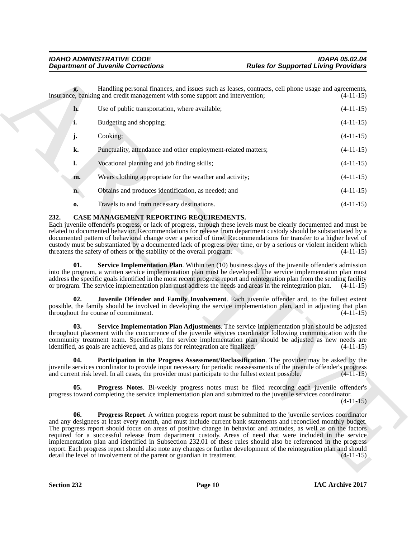| Handling personal finances, and issues such as leases, contracts, cell phone usage and agreements,<br>insurance, banking and credit management with some support and intervention;<br>h.<br>Use of public transportation, where available;<br>i.<br>Budgeting and shopping;<br>Cooking;<br>j.<br>k.<br>Punctuality, attendance and other employment-related matters;<br>Vocational planning and job finding skills;<br>1.<br>Wears clothing appropriate for the weather and activity;<br>m.<br>Obtains and produces identification, as needed; and<br>n.<br>Travels to and from necessary destinations.<br>0.<br>232.<br>CASE MANAGEMENT REPORTING REQUIREMENTS.<br>Each juvenile offender's progress, or lack of progress, through these levels must be clearly documented and must be<br>related to documented behavior. Recommendations for release from department custody should be substantiated by a<br>documented pattern of behavioral change over a period of time. Recommendations for transfer to a higher level of<br>custody must be substantiated by a documented lack of progress over time, or by a serious or violent incident which<br>threatens the safety of others or the stability of the overall program.<br>Service Implementation Plan. Within ten (10) business days of the juvenile offender's admission<br>01.<br>into the program, a written service implementation plan must be developed. The service implementation plan must<br>address the specific goals identified in the most recent progress report and reintegration plan from the sending facility<br>or program. The service implementation plan must address the needs and areas in the reintegration plan.<br>02.<br>Juvenile Offender and Family Involvement. Each juvenile offender and, to the fullest extent<br>possible, the family should be involved in developing the service implementation plan, and in adjusting that plan<br>throughout the course of commitment.<br>$(4-11-15)$<br>Service Implementation Plan Adjustments. The service implementation plan should be adjusted<br>03.<br>throughout placement with the concurrence of the juvenile services coordinator following communication with the<br>community treatment team. Specifically, the service implementation plan should be adjusted as new needs are<br>identified, as goals are achieved, and as plans for reintegration are finalized.<br>Participation in the Progress Assessment/Reclassification. The provider may be asked by the<br>04.<br>juvenile services coordinator to provide input necessary for periodic reassessments of the juvenile offender's progress<br>and current risk level. In all cases, the provider must participate to the fullest extent possible.<br>05.<br><b>Progress Notes.</b> Bi-weekly progress notes must be filed recording each juvenile offender's<br>progress toward completing the service implementation plan and submitted to the juvenile services coordinator.<br>06.<br><b>Progress Report.</b> A written progress report must be submitted to the juvenile services coordinator<br>and any designees at least every month, and must include current bank statements and reconciled monthly budget.<br>The progress report should focus on areas of positive change in behavior and attitudes, as well as on the factors<br>required for a successful release from department custody. Areas of need that were included in the service<br>implementation plan and identified in Subsection 232.01 of these rules should also be referenced in the progress<br>report. Each progress report should also note any changes or further development of the reintegration plan and should<br>detail the level of involvement of the parent or guardian in treatment. | <b>Rules for Supported Living Providers</b> | <b>Department of Juvenile Corrections</b> |  |
|--------------------------------------------------------------------------------------------------------------------------------------------------------------------------------------------------------------------------------------------------------------------------------------------------------------------------------------------------------------------------------------------------------------------------------------------------------------------------------------------------------------------------------------------------------------------------------------------------------------------------------------------------------------------------------------------------------------------------------------------------------------------------------------------------------------------------------------------------------------------------------------------------------------------------------------------------------------------------------------------------------------------------------------------------------------------------------------------------------------------------------------------------------------------------------------------------------------------------------------------------------------------------------------------------------------------------------------------------------------------------------------------------------------------------------------------------------------------------------------------------------------------------------------------------------------------------------------------------------------------------------------------------------------------------------------------------------------------------------------------------------------------------------------------------------------------------------------------------------------------------------------------------------------------------------------------------------------------------------------------------------------------------------------------------------------------------------------------------------------------------------------------------------------------------------------------------------------------------------------------------------------------------------------------------------------------------------------------------------------------------------------------------------------------------------------------------------------------------------------------------------------------------------------------------------------------------------------------------------------------------------------------------------------------------------------------------------------------------------------------------------------------------------------------------------------------------------------------------------------------------------------------------------------------------------------------------------------------------------------------------------------------------------------------------------------------------------------------------------------------------------------------------------------------------------------------------------------------------------------------------------------------------------------------------------------------------------------------------------------------------------------------------------------------------------------------------------------------------------------------------------------------------------------------------------------------------------------------------------------------------------------------------------------------------------------------------------------------------------------------------------------------------------------------|---------------------------------------------|-------------------------------------------|--|
|                                                                                                                                                                                                                                                                                                                                                                                                                                                                                                                                                                                                                                                                                                                                                                                                                                                                                                                                                                                                                                                                                                                                                                                                                                                                                                                                                                                                                                                                                                                                                                                                                                                                                                                                                                                                                                                                                                                                                                                                                                                                                                                                                                                                                                                                                                                                                                                                                                                                                                                                                                                                                                                                                                                                                                                                                                                                                                                                                                                                                                                                                                                                                                                                                                                                                                                                                                                                                                                                                                                                                                                                                                                                                                                                                                                            | $(4-11-15)$                                 |                                           |  |
|                                                                                                                                                                                                                                                                                                                                                                                                                                                                                                                                                                                                                                                                                                                                                                                                                                                                                                                                                                                                                                                                                                                                                                                                                                                                                                                                                                                                                                                                                                                                                                                                                                                                                                                                                                                                                                                                                                                                                                                                                                                                                                                                                                                                                                                                                                                                                                                                                                                                                                                                                                                                                                                                                                                                                                                                                                                                                                                                                                                                                                                                                                                                                                                                                                                                                                                                                                                                                                                                                                                                                                                                                                                                                                                                                                                            | $(4-11-15)$                                 |                                           |  |
|                                                                                                                                                                                                                                                                                                                                                                                                                                                                                                                                                                                                                                                                                                                                                                                                                                                                                                                                                                                                                                                                                                                                                                                                                                                                                                                                                                                                                                                                                                                                                                                                                                                                                                                                                                                                                                                                                                                                                                                                                                                                                                                                                                                                                                                                                                                                                                                                                                                                                                                                                                                                                                                                                                                                                                                                                                                                                                                                                                                                                                                                                                                                                                                                                                                                                                                                                                                                                                                                                                                                                                                                                                                                                                                                                                                            | $(4-11-15)$                                 |                                           |  |
|                                                                                                                                                                                                                                                                                                                                                                                                                                                                                                                                                                                                                                                                                                                                                                                                                                                                                                                                                                                                                                                                                                                                                                                                                                                                                                                                                                                                                                                                                                                                                                                                                                                                                                                                                                                                                                                                                                                                                                                                                                                                                                                                                                                                                                                                                                                                                                                                                                                                                                                                                                                                                                                                                                                                                                                                                                                                                                                                                                                                                                                                                                                                                                                                                                                                                                                                                                                                                                                                                                                                                                                                                                                                                                                                                                                            | $(4-11-15)$                                 |                                           |  |
|                                                                                                                                                                                                                                                                                                                                                                                                                                                                                                                                                                                                                                                                                                                                                                                                                                                                                                                                                                                                                                                                                                                                                                                                                                                                                                                                                                                                                                                                                                                                                                                                                                                                                                                                                                                                                                                                                                                                                                                                                                                                                                                                                                                                                                                                                                                                                                                                                                                                                                                                                                                                                                                                                                                                                                                                                                                                                                                                                                                                                                                                                                                                                                                                                                                                                                                                                                                                                                                                                                                                                                                                                                                                                                                                                                                            | $(4-11-15)$                                 |                                           |  |
|                                                                                                                                                                                                                                                                                                                                                                                                                                                                                                                                                                                                                                                                                                                                                                                                                                                                                                                                                                                                                                                                                                                                                                                                                                                                                                                                                                                                                                                                                                                                                                                                                                                                                                                                                                                                                                                                                                                                                                                                                                                                                                                                                                                                                                                                                                                                                                                                                                                                                                                                                                                                                                                                                                                                                                                                                                                                                                                                                                                                                                                                                                                                                                                                                                                                                                                                                                                                                                                                                                                                                                                                                                                                                                                                                                                            | $(4-11-15)$                                 |                                           |  |
|                                                                                                                                                                                                                                                                                                                                                                                                                                                                                                                                                                                                                                                                                                                                                                                                                                                                                                                                                                                                                                                                                                                                                                                                                                                                                                                                                                                                                                                                                                                                                                                                                                                                                                                                                                                                                                                                                                                                                                                                                                                                                                                                                                                                                                                                                                                                                                                                                                                                                                                                                                                                                                                                                                                                                                                                                                                                                                                                                                                                                                                                                                                                                                                                                                                                                                                                                                                                                                                                                                                                                                                                                                                                                                                                                                                            | $(4-11-15)$                                 |                                           |  |
|                                                                                                                                                                                                                                                                                                                                                                                                                                                                                                                                                                                                                                                                                                                                                                                                                                                                                                                                                                                                                                                                                                                                                                                                                                                                                                                                                                                                                                                                                                                                                                                                                                                                                                                                                                                                                                                                                                                                                                                                                                                                                                                                                                                                                                                                                                                                                                                                                                                                                                                                                                                                                                                                                                                                                                                                                                                                                                                                                                                                                                                                                                                                                                                                                                                                                                                                                                                                                                                                                                                                                                                                                                                                                                                                                                                            | $(4-11-15)$                                 |                                           |  |
|                                                                                                                                                                                                                                                                                                                                                                                                                                                                                                                                                                                                                                                                                                                                                                                                                                                                                                                                                                                                                                                                                                                                                                                                                                                                                                                                                                                                                                                                                                                                                                                                                                                                                                                                                                                                                                                                                                                                                                                                                                                                                                                                                                                                                                                                                                                                                                                                                                                                                                                                                                                                                                                                                                                                                                                                                                                                                                                                                                                                                                                                                                                                                                                                                                                                                                                                                                                                                                                                                                                                                                                                                                                                                                                                                                                            | $(4-11-15)$                                 |                                           |  |
|                                                                                                                                                                                                                                                                                                                                                                                                                                                                                                                                                                                                                                                                                                                                                                                                                                                                                                                                                                                                                                                                                                                                                                                                                                                                                                                                                                                                                                                                                                                                                                                                                                                                                                                                                                                                                                                                                                                                                                                                                                                                                                                                                                                                                                                                                                                                                                                                                                                                                                                                                                                                                                                                                                                                                                                                                                                                                                                                                                                                                                                                                                                                                                                                                                                                                                                                                                                                                                                                                                                                                                                                                                                                                                                                                                                            | $(4-11-15)$                                 |                                           |  |
|                                                                                                                                                                                                                                                                                                                                                                                                                                                                                                                                                                                                                                                                                                                                                                                                                                                                                                                                                                                                                                                                                                                                                                                                                                                                                                                                                                                                                                                                                                                                                                                                                                                                                                                                                                                                                                                                                                                                                                                                                                                                                                                                                                                                                                                                                                                                                                                                                                                                                                                                                                                                                                                                                                                                                                                                                                                                                                                                                                                                                                                                                                                                                                                                                                                                                                                                                                                                                                                                                                                                                                                                                                                                                                                                                                                            | $(4-11-15)$                                 |                                           |  |
|                                                                                                                                                                                                                                                                                                                                                                                                                                                                                                                                                                                                                                                                                                                                                                                                                                                                                                                                                                                                                                                                                                                                                                                                                                                                                                                                                                                                                                                                                                                                                                                                                                                                                                                                                                                                                                                                                                                                                                                                                                                                                                                                                                                                                                                                                                                                                                                                                                                                                                                                                                                                                                                                                                                                                                                                                                                                                                                                                                                                                                                                                                                                                                                                                                                                                                                                                                                                                                                                                                                                                                                                                                                                                                                                                                                            | $(4-11-15)$                                 |                                           |  |
|                                                                                                                                                                                                                                                                                                                                                                                                                                                                                                                                                                                                                                                                                                                                                                                                                                                                                                                                                                                                                                                                                                                                                                                                                                                                                                                                                                                                                                                                                                                                                                                                                                                                                                                                                                                                                                                                                                                                                                                                                                                                                                                                                                                                                                                                                                                                                                                                                                                                                                                                                                                                                                                                                                                                                                                                                                                                                                                                                                                                                                                                                                                                                                                                                                                                                                                                                                                                                                                                                                                                                                                                                                                                                                                                                                                            | $(4-11-15)$                                 |                                           |  |
|                                                                                                                                                                                                                                                                                                                                                                                                                                                                                                                                                                                                                                                                                                                                                                                                                                                                                                                                                                                                                                                                                                                                                                                                                                                                                                                                                                                                                                                                                                                                                                                                                                                                                                                                                                                                                                                                                                                                                                                                                                                                                                                                                                                                                                                                                                                                                                                                                                                                                                                                                                                                                                                                                                                                                                                                                                                                                                                                                                                                                                                                                                                                                                                                                                                                                                                                                                                                                                                                                                                                                                                                                                                                                                                                                                                            | $(4-11-15)$                                 |                                           |  |
|                                                                                                                                                                                                                                                                                                                                                                                                                                                                                                                                                                                                                                                                                                                                                                                                                                                                                                                                                                                                                                                                                                                                                                                                                                                                                                                                                                                                                                                                                                                                                                                                                                                                                                                                                                                                                                                                                                                                                                                                                                                                                                                                                                                                                                                                                                                                                                                                                                                                                                                                                                                                                                                                                                                                                                                                                                                                                                                                                                                                                                                                                                                                                                                                                                                                                                                                                                                                                                                                                                                                                                                                                                                                                                                                                                                            | $(4-11-15)$                                 |                                           |  |

#### <span id="page-9-7"></span><span id="page-9-6"></span><span id="page-9-5"></span><span id="page-9-4"></span><span id="page-9-3"></span><span id="page-9-2"></span><span id="page-9-1"></span><span id="page-9-0"></span>**232. CASE MANAGEMENT REPORTING REQUIREMENTS.**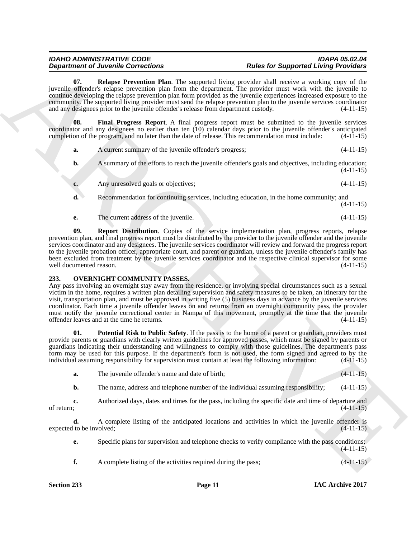#### <span id="page-10-2"></span><span id="page-10-1"></span>*IDAHO ADMINISTRATIVE CODE IDAPA 05.02.04 Rules for Supported Living Providers*

|                                | <b>Department of Juvenile Corrections</b>                                                                                                                                                                                                                                                                                                                                                                                                                                                                                                                                                                                                                  | <b>Rules for Supported Living Providers</b> |             |
|--------------------------------|------------------------------------------------------------------------------------------------------------------------------------------------------------------------------------------------------------------------------------------------------------------------------------------------------------------------------------------------------------------------------------------------------------------------------------------------------------------------------------------------------------------------------------------------------------------------------------------------------------------------------------------------------------|---------------------------------------------|-------------|
| 07.                            | Relapse Prevention Plan. The supported living provider shall receive a working copy of the<br>juvenile offender's relapse prevention plan from the department. The provider must work with the juvenile to<br>continue developing the relapse prevention plan form provided as the juvenile experiences increased exposure to the<br>community. The supported living provider must send the relapse prevention plan to the juvenile services coordinator<br>and any designees prior to the juvenile offender's release from department custody.                                                                                                            |                                             | $(4-11-15)$ |
| 08.                            | Final Progress Report. A final progress report must be submitted to the juvenile services<br>coordinator and any designees no earlier than ten (10) calendar days prior to the juvenile offender's anticipated<br>completion of the program, and no later than the date of release. This recommendation must include:                                                                                                                                                                                                                                                                                                                                      |                                             | $(4-11-15)$ |
| a.                             | A current summary of the juvenile offender's progress;                                                                                                                                                                                                                                                                                                                                                                                                                                                                                                                                                                                                     |                                             | $(4-11-15)$ |
| b.                             | A summary of the efforts to reach the juvenile offender's goals and objectives, including education;                                                                                                                                                                                                                                                                                                                                                                                                                                                                                                                                                       |                                             | $(4-11-15)$ |
| c.                             | Any unresolved goals or objectives;                                                                                                                                                                                                                                                                                                                                                                                                                                                                                                                                                                                                                        |                                             | $(4-11-15)$ |
| d.                             | Recommendation for continuing services, including education, in the home community; and                                                                                                                                                                                                                                                                                                                                                                                                                                                                                                                                                                    |                                             | $(4-11-15)$ |
| <b>e.</b>                      | The current address of the juvenile.                                                                                                                                                                                                                                                                                                                                                                                                                                                                                                                                                                                                                       |                                             | $(4-11-15)$ |
| well documented reason.        | <b>Report Distribution.</b> Copies of the service implementation plan, progress reports, relapse<br>prevention plan, and final progress report must be distributed by the provider to the juvenile offender and the juvenile<br>services coordinator and any designees. The juvenile services coordinator will review and forward the progress report<br>to the juvenile probation officer, appropriate court, and parent or guardian, unless the juvenile offender's family has<br>been excluded from treatment by the juvenile services coordinator and the respective clinical supervisor for some                                                      |                                             | $(4-11-15)$ |
| 233.                           | <b>OVERNIGHT COMMUNITY PASSES.</b>                                                                                                                                                                                                                                                                                                                                                                                                                                                                                                                                                                                                                         |                                             |             |
|                                | Any pass involving an overnight stay away from the residence, or involving special circumstances such as a sexual<br>victim in the home, requires a written plan detailing supervision and safety measures to be taken, an itinerary for the<br>visit, transportation plan, and must be approved in writing five (5) business days in advance by the juvenile services<br>coordinator. Each time a juvenile offender leaves on and returns from an overnight community pass, the provider<br>must notify the juvenile correctional center in Nampa of this movement, promptly at the time that the juvenile<br>offender leaves and at the time he returns. |                                             | $(4-11-15)$ |
| 01.                            | <b>Potential Risk to Public Safety.</b> If the pass is to the home of a parent or guardian, providers must<br>provide parents or guardians with clearly written guidelines for approved passes, which must be signed by parents or<br>guardians indicating their understanding and willingness to comply with those guidelines. The department's pass<br>form may be used for this purpose. If the department's form is not used, the form signed and agreed to by the<br>individual assuming responsibility for supervision must contain at least the following information:                                                                              |                                             | $(4-11-15)$ |
| a.                             | The juvenile offender's name and date of birth;                                                                                                                                                                                                                                                                                                                                                                                                                                                                                                                                                                                                            |                                             | $(4-11-15)$ |
| b.                             | The name, address and telephone number of the individual assuming responsibility;                                                                                                                                                                                                                                                                                                                                                                                                                                                                                                                                                                          |                                             | $(4-11-15)$ |
| c.<br>of return;               | Authorized days, dates and times for the pass, including the specific date and time of departure and                                                                                                                                                                                                                                                                                                                                                                                                                                                                                                                                                       |                                             | $(4-11-15)$ |
| d.<br>expected to be involved; | A complete listing of the anticipated locations and activities in which the juvenile offender is                                                                                                                                                                                                                                                                                                                                                                                                                                                                                                                                                           |                                             | $(4-11-15)$ |
| e.                             | Specific plans for supervision and telephone checks to verify compliance with the pass conditions;                                                                                                                                                                                                                                                                                                                                                                                                                                                                                                                                                         |                                             | $(4-11-15)$ |

#### <span id="page-10-4"></span><span id="page-10-3"></span><span id="page-10-0"></span>**233. OVERNIGHT COMMUNITY PASSES.**

<span id="page-10-5"></span>

|  | The juvenile offender's name and date of birth; |  |  | $(4-11-15)$ |
|--|-------------------------------------------------|--|--|-------------|
|--|-------------------------------------------------|--|--|-------------|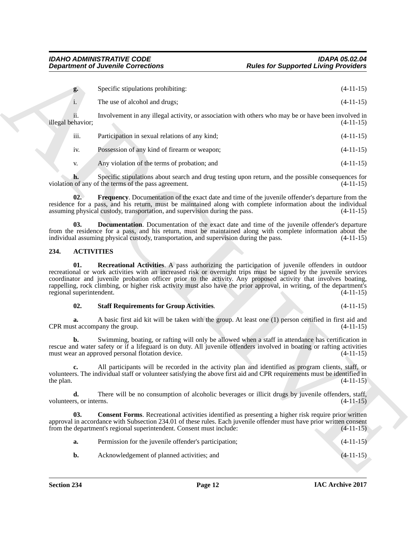| g. | Specific stipulations prohibiting: | $(4-11-15)$ |
|----|------------------------------------|-------------|
|    |                                    |             |

|                               | $(4-11-15)$ |
|-------------------------------|-------------|
| The use of alcohol and drugs; |             |

ii. Involvement in any illegal activity, or association with others who may be or have been involved in illegal behavior;

| $\cdots$ |                                                |             |
|----------|------------------------------------------------|-------------|
| - 111.   | Participation in sexual relations of any kind: | $(4-11-15)$ |
|          |                                                |             |
|          |                                                |             |
|          |                                                |             |

iv. Possession of any kind of firearm or weapon; (4-11-15)

<span id="page-11-6"></span>v. Any violation of the terms of probation; and  $(4-11-15)$ 

**h.** Specific stipulations about search and drug testing upon return, and the possible consequences for violation of any of the terms of the pass agreement. (4-11-15)

**02. Frequency**. Documentation of the exact date and time of the juvenile offender's departure from the residence for a pass, and his return, must be maintained along with complete information about the individual assuming physical custody, transportation, and supervision during the pass. (4-11-15)

<span id="page-11-5"></span>**03. Documentation**. Documentation of the exact date and time of the juvenile offender's departure from the residence for a pass, and his return, must be maintained along with complete information about the individual assuming physical custody, transportation, and supervision during the pass. (4-11-15)

#### <span id="page-11-3"></span><span id="page-11-1"></span><span id="page-11-0"></span>**234. ACTIVITIES**

**Department of Juvenile Connections**<br>
Space Connections<br>
Space Connections<br>
A. The next distribution predictions<br>
The next distribution of exact distributions of experiments with other subseques that  $(11+15)$ <br>  $\frac{1}{2}$ <br> **01. Recreational Activities**. A pass authorizing the participation of juvenile offenders in outdoor recreational or work activities with an increased risk or overnight trips must be signed by the juvenile services coordinator and juvenile probation officer prior to the activity. Any proposed activity that involves boating, rappelling, rock climbing, or higher risk activity must also have the prior approval, in writing, of the department's regional superintendent. (4-11-15)

#### <span id="page-11-4"></span>**02. Staff Requirements for Group Activities**. (4-11-15)

**a.** A basic first aid kit will be taken with the group. At least one (1) person certified in first aid and  $CPR$  must accompany the group.  $(4-11-15)$ 

**b.** Swimming, boating, or rafting will only be allowed when a staff in attendance has certification in rescue and water safety or if a lifeguard is on duty. All juvenile offenders involved in boating or rafting activities must wear an approved personal flotation device. (4-11-15)

**c.** All participants will be recorded in the activity plan and identified as program clients, staff, or volunteers. The individual staff or volunteer satisfying the above first aid and CPR requirements must be identified in the plan.  $(4-11-15)$ 

**d.** There will be no consumption of alcoholic beverages or illicit drugs by juvenile offenders, staff, volunteers, or interns. (4-11-15)

**03.** Consent Forms. Recreational activities identified as presenting a higher risk require prior written approval in accordance with Subsection 234.01 of these rules. Each juvenile offender must have prior written consent from the department's regional superintendent. Consent must include: (4-11-15)

<span id="page-11-2"></span>

| а. | Permission for the juvenile offender's participation; | $(4-11-15)$ |
|----|-------------------------------------------------------|-------------|
| b. | Acknowledgement of planned activities; and            | $(4-11-15)$ |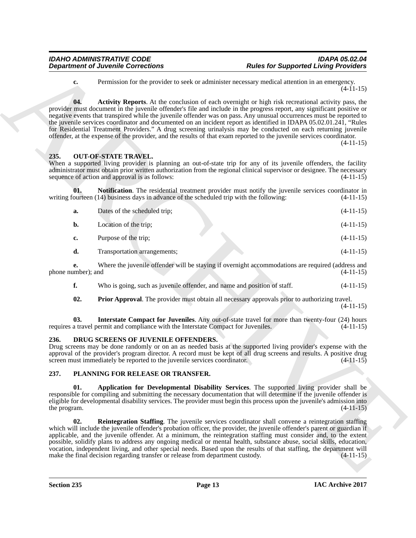#### <span id="page-12-7"></span><span id="page-12-5"></span><span id="page-12-3"></span><span id="page-12-0"></span>**235. OUT-OF-STATE TRAVEL.**

|                          | <b>Department of Juvenile Corrections</b>                                                                        | <b>Rules for Supported Living Providers</b>                                                                                                                                                                                                                                                                                                                                                                                                                                                                                                                                                                                                                                                                                                |
|--------------------------|------------------------------------------------------------------------------------------------------------------|--------------------------------------------------------------------------------------------------------------------------------------------------------------------------------------------------------------------------------------------------------------------------------------------------------------------------------------------------------------------------------------------------------------------------------------------------------------------------------------------------------------------------------------------------------------------------------------------------------------------------------------------------------------------------------------------------------------------------------------------|
| c.                       |                                                                                                                  | Permission for the provider to seek or administer necessary medical attention in an emergency.<br>$(4-11-15)$                                                                                                                                                                                                                                                                                                                                                                                                                                                                                                                                                                                                                              |
| 04.                      |                                                                                                                  | <b>Activity Reports.</b> At the conclusion of each overnight or high risk recreational activity pass, the<br>provider must document in the juvenile offender's file and include in the progress report, any significant positive or<br>negative events that transpired while the juvenile offender was on pass. Any unusual occurrences must be reported to<br>the juvenile services coordinator and documented on an incident report as identified in IDAPA 05.02.01.241, "Rules<br>for Residential Treatment Providers." A drug screening urinalysis may be conducted on each returning juvenile<br>offender, at the expense of the provider, and the results of that exam reported to the juvenile services coordinator.<br>$(4-11-15)$ |
| 235.                     | <b>OUT-OF-STATE TRAVEL.</b><br>sequence of action and approval is as follows:                                    | When a supported living provider is planning an out-of-state trip for any of its juvenile offenders, the facility<br>administrator must obtain prior written authorization from the regional clinical supervisor or designee. The necessary<br>$(4-11-15)$                                                                                                                                                                                                                                                                                                                                                                                                                                                                                 |
| 01.                      | writing fourteen (14) business days in advance of the scheduled trip with the following:                         | Notification. The residential treatment provider must notify the juvenile services coordinator in<br>$(4-11-15)$                                                                                                                                                                                                                                                                                                                                                                                                                                                                                                                                                                                                                           |
| a.                       | Dates of the scheduled trip;                                                                                     | $(4-11-15)$                                                                                                                                                                                                                                                                                                                                                                                                                                                                                                                                                                                                                                                                                                                                |
| b.                       | Location of the trip;                                                                                            | $(4-11-15)$                                                                                                                                                                                                                                                                                                                                                                                                                                                                                                                                                                                                                                                                                                                                |
| c.                       | Purpose of the trip;                                                                                             | $(4-11-15)$                                                                                                                                                                                                                                                                                                                                                                                                                                                                                                                                                                                                                                                                                                                                |
| d.                       | Transportation arrangements;                                                                                     | $(4-11-15)$                                                                                                                                                                                                                                                                                                                                                                                                                                                                                                                                                                                                                                                                                                                                |
| e.<br>phone number); and |                                                                                                                  | Where the juvenile offender will be staying if overnight accommodations are required (address and<br>$(4-11-15)$                                                                                                                                                                                                                                                                                                                                                                                                                                                                                                                                                                                                                           |
| f.                       | Who is going, such as juvenile offender, and name and position of staff.                                         | $(4-11-15)$                                                                                                                                                                                                                                                                                                                                                                                                                                                                                                                                                                                                                                                                                                                                |
| 02.                      |                                                                                                                  | <b>Prior Approval.</b> The provider must obtain all necessary approvals prior to authorizing travel.<br>$(4-11-15)$                                                                                                                                                                                                                                                                                                                                                                                                                                                                                                                                                                                                                        |
| 03.                      | requires a travel permit and compliance with the Interstate Compact for Juveniles.                               | Interstate Compact for Juveniles. Any out-of-state travel for more than twenty-four (24) hours<br>$(4-11-15)$                                                                                                                                                                                                                                                                                                                                                                                                                                                                                                                                                                                                                              |
| 236.                     | DRUG SCREENS OF JUVENILE OFFENDERS.<br>screen must immediately be reported to the juvenile services coordinator. | Drug screens may be done randomly or on an as needed basis at the supported living provider's expense with the<br>approval of the provider's program director. A record must be kept of all drug screens and results. A positive drug<br>$(4-11-15)$                                                                                                                                                                                                                                                                                                                                                                                                                                                                                       |
| 237.                     | PLANNING FOR RELEASE OR TRANSFER.                                                                                |                                                                                                                                                                                                                                                                                                                                                                                                                                                                                                                                                                                                                                                                                                                                            |
| 01.<br>the program.      |                                                                                                                  | Application for Developmental Disability Services. The supported living provider shall be<br>responsible for compiling and submitting the necessary documentation that will determine if the juvenile offender is<br>eligible for developmental disability services. The provider must begin this process upon the juvenile's admission into<br>$(4-11-15)$                                                                                                                                                                                                                                                                                                                                                                                |
| 02.                      | make the final decision regarding transfer or release from department custody.                                   | <b>Reintegration Staffing.</b> The juvenile services coordinator shall convene a reintegration staffing<br>which will include the juvenile offender's probation officer, the provider, the juvenile offender's parent or guardian if<br>applicable, and the juvenile offender. At a minimum, the reintegration staffing must consider and, to the extent<br>possible, solidify plans to address any ongoing medical or mental health, substance abuse, social skills, education,<br>vocation, independent living, and other special needs. Based upon the results of that staffing, the department will<br>$(4-11-15)$                                                                                                                     |
|                          |                                                                                                                  |                                                                                                                                                                                                                                                                                                                                                                                                                                                                                                                                                                                                                                                                                                                                            |

#### <span id="page-12-8"></span><span id="page-12-6"></span><span id="page-12-4"></span><span id="page-12-1"></span>**236. DRUG SCREENS OF JUVENILE OFFENDERS.**

#### <span id="page-12-11"></span><span id="page-12-10"></span><span id="page-12-9"></span><span id="page-12-2"></span>**237. PLANNING FOR RELEASE OR TRANSFER.**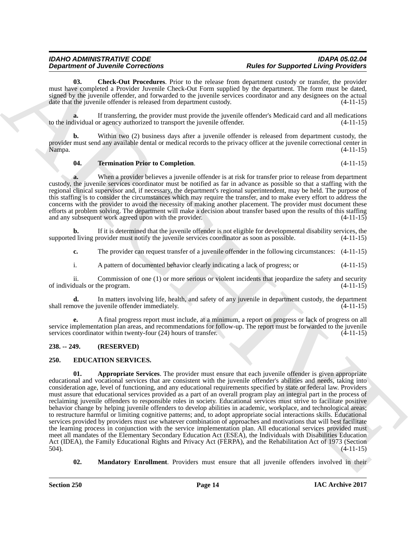## **Department of Juvenile Corrections**

<span id="page-13-5"></span>**03. Check-Out Procedures**. Prior to the release from department custody or transfer, the provider must have completed a Provider Juvenile Check-Out Form supplied by the department. The form must be dated, signed by the juvenile offender, and forwarded to the juvenile services coordinator and any designees on the actual date that the juvenile offender is released from department custody. (4-11-15)

If transferring, the provider must provide the juvenile offender's Medicaid card and all medications or agency authorized to transport the juvenile offender.  $(4-11-15)$ to the individual or agency authorized to transport the juvenile offender.

**b.** Within two (2) business days after a juvenile offender is released from department custody, the provider must send any available dental or medical records to the privacy officer at the juvenile correctional center in Nampa. (4-11-15)

#### <span id="page-13-6"></span>**04. Termination Prior to Completion**. (4-11-15)

**a.** When a provider believes a juvenile offender is at risk for transfer prior to release from department custody, the juvenile services coordinator must be notified as far in advance as possible so that a staffing with the regional clinical supervisor and, if necessary, the department's regional superintendent, may be held. The purpose of this staffing is to consider the circumstances which may require the transfer, and to make every effort to address the concerns with the provider to avoid the necessity of making another placement. The provider must document these efforts at problem solving. The department will make a decision about transfer based upon the results of this staffing and any subsequent work agreed upon with the provider. (4-11-15)

**b.** If it is determined that the juvenile offender is not eligible for developmental disability services, the d living provider must notify the juvenile services coordinator as soon as possible. (4-11-15) supported living provider must notify the juvenile services coordinator as soon as possible.

**c.** The provider can request transfer of a juvenile offender in the following circumstances:  $(4-11-15)$ 

i. A pattern of documented behavior clearly indicating a lack of progress; or (4-11-15)

ii. Commission of one (1) or more serious or violent incidents that jeopardize the safety and security of individuals or the program. (4-11-15)

**d.** In matters involving life, health, and safety of any juvenile in department custody, the department shall remove the juvenile offender immediately. (4-11-15)

**e.** A final progress report must include, at a minimum, a report on progress or lack of progress on all service implementation plan areas, and recommendations for follow-up. The report must be forwarded to the juvenile services coordinator within twenty-four (24) hours of transfer. (4-11-15)

#### <span id="page-13-0"></span>**238. -- 249. (RESERVED)**

#### <span id="page-13-3"></span><span id="page-13-2"></span><span id="page-13-1"></span>**250. EDUCATION SERVICES.**

**Department of Alverence Concerns the University of Representation of Representation of Alverence Concerns and the Concerns and the Concerns and the Concerns and the Concerns and the Concerns and the Concerns and the Conc 01. Appropriate Services**. The provider must ensure that each juvenile offender is given appropriate educational and vocational services that are consistent with the juvenile offender's abilities and needs, taking into consideration age, level of functioning, and any educational requirements specified by state or federal law. Providers must assure that educational services provided as a part of an overall program play an integral part in the process of reclaiming juvenile offenders to responsible roles in society. Educational services must strive to facilitate positive behavior change by helping juvenile offenders to develop abilities in academic, workplace, and technological areas; to restructure harmful or limiting cognitive patterns; and, to adopt appropriate social interactions skills. Educational services provided by providers must use whatever combination of approaches and motivations that will best facilitate the learning process in conjunction with the service implementation plan. All educational services provided must meet all mandates of the Elementary Secondary Education Act (ESEA), the Individuals with Disabilities Education Act (IDEA), the Family Educational Rights and Privacy Act (FERPA), and the Rehabilitation Act of 1973 (Section 504). 504). (4-11-15)

<span id="page-13-4"></span>**02. Mandatory Enrollment**. Providers must ensure that all juvenile offenders involved in their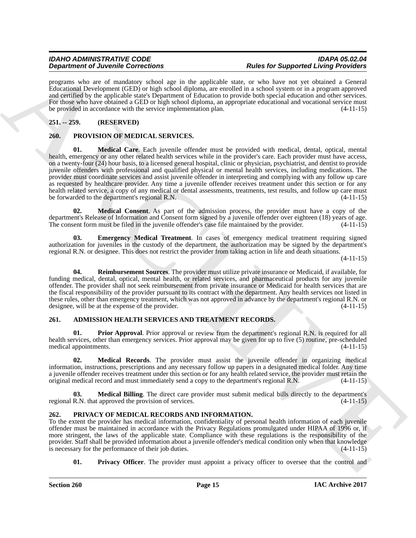programs who are of mandatory school age in the applicable state, or who have not yet obtained a General Educational Development (GED) or high school diploma, are enrolled in a school system or in a program approved and certified by the applicable state's Department of Education to provide both special education and other services. For those who have obtained a GED or high school diploma, an appropriate educational and vocational service must be provided in accordance with the service implementation plan. (4-11-15)

#### <span id="page-14-0"></span>**251. -- 259. (RESERVED)**

#### <span id="page-14-12"></span><span id="page-14-10"></span><span id="page-14-1"></span>**260. PROVISION OF MEDICAL SERVICES.**

**Dependent of Development Sometimes** in the application of the forest for Supported University Process.<br>
The statistic of the statistic statistic statistic statistic statistic statistic statistic statistic statistic stati **01. Medical Care**. Each juvenile offender must be provided with medical, dental, optical, mental health, emergency or any other related health services while in the provider's care. Each provider must have access, on a twenty-four (24) hour basis, to a licensed general hospital, clinic or physician, psychiatrist, and dentist to provide juvenile offenders with professional and qualified physical or mental health services, including medications. The provider must coordinate services and assist juvenile offender in interpreting and complying with any follow up care as requested by healthcare provider. Any time a juvenile offender receives treatment under this section or for any health related service, a copy of any medical or dental assessments, treatments, test results, and follow up care must<br>be forwarded to the department's regional R.N. be forwarded to the department's regional R.N.

<span id="page-14-13"></span>**02. Medical Consent**. As part of the admission process, the provider must have a copy of the department's Release of Information and Consent form signed by a juvenile offender over eighteen (18) years of age.<br>The consent form must be filed in the juvenile offender's case file maintained by the provider. (4-11-15) The consent form must be filed in the juvenile offender's case file maintained by the provider.

<span id="page-14-11"></span>**03. Emergency Medical Treatment**. In cases of emergency medical treatment requiring signed authorization for juveniles in the custody of the department, the authorization may be signed by the department's regional R.N. or designee. This does not restrict the provider from taking action in life and death situations.

(4-11-15)

<span id="page-14-14"></span>**04. Reimbursement Sources**. The provider must utilize private insurance or Medicaid, if available, for funding medical, dental, optical, mental health, or related services, and pharmaceutical products for any juvenile offender. The provider shall not seek reimbursement from private insurance or Medicaid for health services that are the fiscal responsibility of the provider pursuant to its contract with the department. Any health services not listed in these rules, other than emergency treatment, which was not approved in advance by the department's regional R.N. or designee, will be at the expense of the provider. (4-11-15)

#### <span id="page-14-4"></span><span id="page-14-2"></span>**261. ADMISSION HEALTH SERVICES AND TREATMENT RECORDS.**

<span id="page-14-7"></span>**01. Prior Approval**. Prior approval or review from the department's regional R.N. is required for all health services, other than emergency services. Prior approval may be given for up to five (5) routine, pre-scheduled medical appointments. (4-11-15) medical appointments.

<span id="page-14-6"></span>**02. Medical Records**. The provider must assist the juvenile offender in organizing medical information, instructions, prescriptions and any necessary follow up papers in a designated medical folder. Any time a juvenile offender receives treatment under this section or for any health related service, the provider must retain the original medical record and must immediately send a copy to the department's regional R.N.  $(4-11-15$ original medical record and must immediately send a copy to the department's regional R.N.

<span id="page-14-5"></span>**03. Medical Billing**. The direct care provider must submit medical bills directly to the department's regional R.N. that approved the provision of services. (4-11-15)

#### <span id="page-14-8"></span><span id="page-14-3"></span>**262. PRIVACY OF MEDICAL RECORDS AND INFORMATION.**

To the extent the provider has medical information, confidentiality of personal health information of each juvenile offender must be maintained in accordance with the Privacy Regulations promulgated under HIPAA of 1996 or, if more stringent, the laws of the applicable state. Compliance with these regulations is the responsibility of the provider. Staff shall be provided information about a juvenile offender's medical condition only when that knowledge is necessary for the performance of their job duties. (4-11-15) is necessary for the performance of their job duties.

<span id="page-14-9"></span>**01.** Privacy Officer. The provider must appoint a privacy officer to oversee that the control and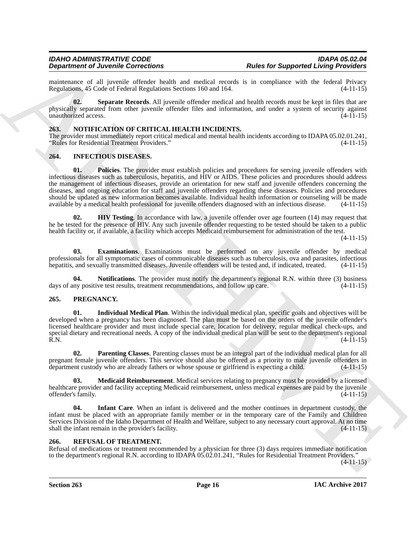maintenance of all juvenile offender health and medical records is in compliance with the federal Privacy<br>Regulations 45 Code of Federal Regulations Sections 160 and 164. (4-11-15) Regulations, 45 Code of Federal Regulations Sections 160 and 164.

<span id="page-15-15"></span>**02. Separate Records**. All juvenile offender medical and health records must be kept in files that are physically separated from other juvenile offender files and information, and under a system of security against unauthorized access. (4-11-15)

#### <span id="page-15-9"></span><span id="page-15-0"></span>**263. NOTIFICATION OF CRITICAL HEALTH INCIDENTS.**

The provider must immediately report critical medical and mental health incidents according to IDAPA 05.02.01.241, "Rules for Residential Treatment Providers." (4-11-15)

#### <span id="page-15-8"></span><span id="page-15-4"></span><span id="page-15-1"></span>**264. INFECTIOUS DISEASES.**

**Expandent of Archives Concertents**<br> **Expandent of Archives Concertes Concert and the state of the state for Supported Living Providers<br>
Republic to the state of the state of the state of the state of the state of the sta 01. Policies**. The provider must establish policies and procedures for serving juvenile offenders with infectious diseases such as tuberculosis, hepatitis, and HIV or AIDS. These policies and procedures should address the management of infectious diseases, provide an orientation for new staff and juvenile offenders concerning the diseases, and ongoing education for staff and juvenile offenders regarding these diseases. Policies and procedures should be updated as new information becomes available. Individual health information or counseling will be made available by a medical health professional for juvenile offenders diagnosed with an infectious disease. (4-11-15)

<span id="page-15-6"></span>**02. HIV Testing**. In accordance with law, a juvenile offender over age fourteen (14) may request that he be tested for the presence of HIV. Any such juvenile offender requesting to be tested should be taken to a public health facility or, if available, a facility which accepts Medicaid reimbursement for administration of the test.

(4-11-15)

<span id="page-15-5"></span>**03. Examinations**. Examinations must be performed on any juvenile offender by medical professionals for all symptomatic cases of communicable diseases such as tuberculosis, ova and parasites, infectious hepatitis, and sexually transmitted diseases. Juvenile offenders will be tested and, if indicated, treated. (4-11-15)

<span id="page-15-7"></span>**04. Notifications**. The provider must notify the department's regional R.N. within three (3) business ny positive test results, treatment recommendations, and follow up care. (4-11-15) days of any positive test results, treatment recommendations, and follow up care.

#### <span id="page-15-10"></span><span id="page-15-2"></span>**265. PREGNANCY.**

<span id="page-15-11"></span>**01. Individual Medical Plan**. Within the individual medical plan, specific goals and objectives will be developed when a pregnancy has been diagnosed. The plan must be based on the orders of the juvenile offender's licensed healthcare provider and must include special care, location for delivery, regular medical check-ups, and special dietary and recreational needs. A copy of the individual medical plan will be sent to the department's regional R.N. (4-11-15) R.N.  $(4-11-15)$ 

<span id="page-15-14"></span>**02. Parenting Classes**. Parenting classes must be an integral part of the individual medical plan for all pregnant female juvenile offenders. This service should also be offered as a priority to male juvenile offenders in department custody who are already fathers or whose spouse or girlfriend is expecting a child. (4-11-15)

<span id="page-15-13"></span>**03. Medicaid Reimbursement**. Medical services relating to pregnancy must be provided by a licensed healthcare provider and facility accepting Medicaid reimbursement, unless medical expenses are paid by the juvenile offender's family. (4-11-15)

<span id="page-15-12"></span>**04. Infant Care**. When an infant is delivered and the mother continues in department custody, the infant must be placed with an appropriate family member or in the temporary care of the Family and Children Services Division of the Idaho Department of Health and Welfare, subject to any necessary court approval. At no time shall the infant remain in the provider's facility. (4-11-15)

#### <span id="page-15-16"></span><span id="page-15-3"></span>**266. REFUSAL OF TREATMENT.**

Refusal of medications or treatment recommended by a physician for three (3) days requires immediate notification to the department's regional R.N. according to IDAPA 05.02.01.241, "Rules for Residential Treatment Providers."

 $(4-11-15)$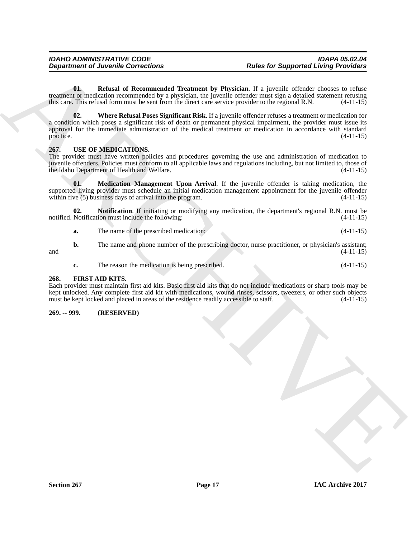<span id="page-16-5"></span><span id="page-16-4"></span>**01. Refusal of Recommended Treatment by Physician**. If a juvenile offender chooses to refuse treatment or medication recommended by a physician, the juvenile offender must sign a detailed statement refusing this care. This refusal form must be sent from the direct care service provider to the regional R.N. (4-11-15)

**Department of Juvenile Conventions**<br>
Under all Recommendation of the properties in a procedure of the properties of the system of the system of the system of the system of the system of the system of the system of the sy **02. Where Refusal Poses Significant Risk**. If a juvenile offender refuses a treatment or medication for a condition which poses a significant risk of death or permanent physical impairment, the provider must issue its approval for the immediate administration of the medical treatment or medication in accordance with standard practice.  $(4-11-15)$ 

#### <span id="page-16-6"></span><span id="page-16-0"></span>**267. USE OF MEDICATIONS.**

The provider must have written policies and procedures governing the use and administration of medication to juvenile offenders. Policies must conform to all applicable laws and regulations including, but not limited to, those of the Idaho Department of Health and Welfare. (4-11-15)

<span id="page-16-7"></span>**01. Medication Management Upon Arrival**. If the juvenile offender is taking medication, the supported living provider must schedule an initial medication management appointment for the juvenile offender within five (5) business days of arrival into the program. (4-11-15) within five  $(5)$  business days of arrival into the program.

**02. Notification**. If initiating or modifying any medication, the department's regional R.N. must be notified. Notification must include the following: (4-11-15)

<span id="page-16-8"></span>**a.** The name of the prescribed medication; (4-11-15)

**b.** The name and phone number of the prescribing doctor, nurse practitioner, or physician's assistant;  $(4-11-15)$ and  $(4-11-15)$ 

<span id="page-16-3"></span>**c.** The reason the medication is being prescribed. (4-11-15)

#### <span id="page-16-1"></span>**268. FIRST AID KITS.**

Each provider must maintain first aid kits. Basic first aid kits that do not include medications or sharp tools may be kept unlocked. Any complete first aid kit with medications, wound rinses, scissors, tweezers, or other such objects must be kept locked and placed in areas of the residence readily accessible to staff. (4-11-15) must be kept locked and placed in areas of the residence readily accessible to staff.

#### <span id="page-16-2"></span>**269. -- 999. (RESERVED)**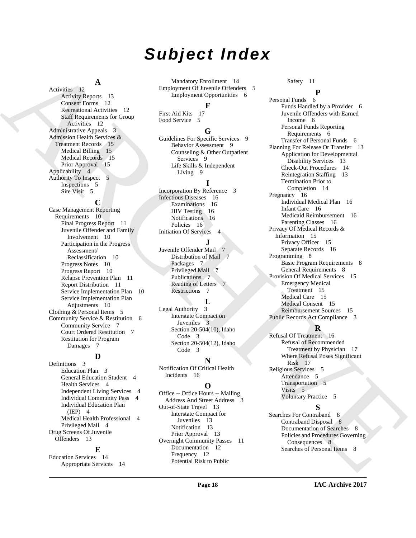## *Subject Index*

### **A**

Activities 12 Activity Reports 13 Consent Forms 12 Recreational Activities 12 Staff Requirements for Group Activities 12 Administrative Appeals 3 Admission Health Services & Treatment Records 15 Medical Billing 15 Medical Records 15 Prior Approval 15 Applicability 4 Authority To Inspect 5 Inspections 5 Site Visit 5

#### **C**

Case Management Reporting Requirements 10 Final Progress Report 11 Juvenile Offender and Family Involvement 10 Participation in the Progress Assessment/ Reclassification 10 Progress Notes 10 Progress Report 10 Relapse Prevention Plan 11 Report Distribution 11 Service Implementation Plan 10 Service Implementation Plan Adjustments 10 Clothing & Personal Items 5 Community Service & Restitution 6 Community Service 7 Court Ordered Restitution 7 Restitution for Program Damages 7

#### **D**

Definitions 3 Education Plan 3 General Education Student 4 Health Services 4 Independent Living Services 4 Individual Community Pass 4 Individual Education Plan  $(IEP) 4$ Medical Health Professional 4 Privileged Mail 4 Drug Screens Of Juvenile Offenders 13

#### **E**

Education Services 14 Appropriate Services 14

Mandatory Enrollment 14 Employment Of Juvenile Offenders 5 Employment Opportunities 6

#### **F**

First Aid Kits 17 Food Service 5

#### **G**

Guidelines For Specific Services 9 Behavior Assessment 9 Counseling & Other Outpatient Services 9 Life Skills & Independent Living 9

#### **I**

Incorporation By Reference 3 Infectious Diseases 16 Examinations 16 HIV Testing 16 Notifications 16 Policies 16 Initiation Of Services 4

#### **J**

Juvenile Offender Mail 7 Distribution of Mail 7 Packages 7 Privileged Mail 7 Publications 7 Reading of Letters 7 Restrictions 7

#### **L**

Legal Authority 3 Interstate Compact on Juveniles Section 20-504(10), Idaho Code 3 Section 20-504(12), Idaho Code 3

#### **N**

Notification Of Critical Health Incidents 16

#### **O**

Office -- Office Hours -- Mailing Address And Street Address Out-of-State Travel 13 Interstate Compact for Juveniles 13 Notification 13 Prior Approval 13 Overnight Community Passes 11 Documentation 12 Frequency 12 Potential Risk to Public

#### Safety 11

[A](#page-11-4) divide a later of the interaction of the interaction of the interaction of the interaction of the interaction of the interaction of the interaction of the interaction of the interaction of the interaction of the interac **P** Personal Funds Funds Handled by a Provider 6 Juvenile Offenders with Earned Income 6 Personal Funds Reporting Requirements 6 Transfer of Personal Funds 6 Planning For Release Or Transfer 13 Application for Developmental Disability Services 13 Check-Out Procedures 14 Reintegration Staffing 13 Termination Prior to Completion 14 Pregnancy 16 Individual Medical Plan 16 Infant Care 16 Medicaid Reimbursement 16 Parenting Classes 16 Privacy Of Medical Records & Information 15 Privacy Officer 15 Separate Records 16 Programming 8 Basic Program Requirements 8 General Requirements 8 Provision Of Medical Services 15 Emergency Medical Treatment 15 Medical Care 15 Medical Consent 15 Reimbursement Sources 15 Public Records Act Compliance 3

#### **R**

Refusal Of Treatment 16 Refusal of Recommended Treatment by Physician 17 Where Refusal Poses Significant Risk 17 Religious Services 5 Attendance 5 Transportation 5 Visits 5 Voluntary Practice 5

### **S**

Searches For Contraband 8 Contraband Disposal 8 Documentation of Searches 8 Policies and Procedures Governing Consequences 8 Searches of Personal Items 8